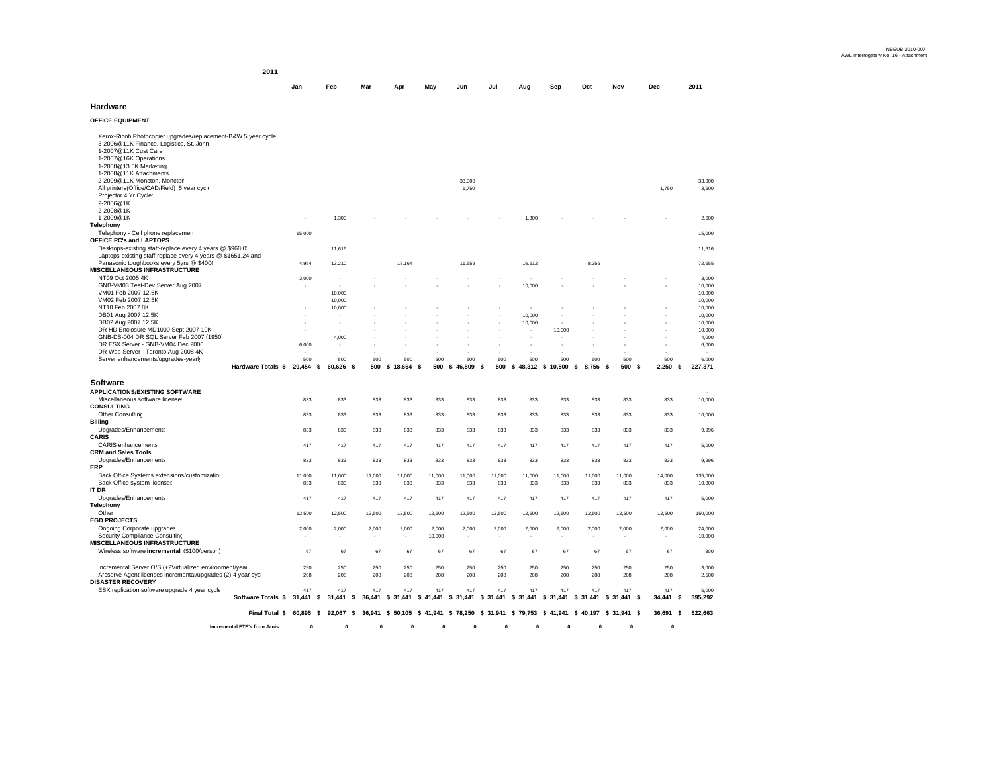**2011**

| Jan | Feb | Mar | <b>Apr</b> | May Jun Jul Aug Sep Oct Nov |  |  | <b>Dec</b> | 2011 |
|-----|-----|-----|------------|-----------------------------|--|--|------------|------|
|     |     |     |            |                             |  |  |            |      |

### **Hardware**

**OFFICE EQUIPMENT** 

|                                                                                                                                                    | Final Total \$     |                  |                                                                                                               |                          |                  |            |              |                                                     |            |                   |                 |                     |                  |                  |
|----------------------------------------------------------------------------------------------------------------------------------------------------|--------------------|------------------|---------------------------------------------------------------------------------------------------------------|--------------------------|------------------|------------|--------------|-----------------------------------------------------|------------|-------------------|-----------------|---------------------|------------------|------------------|
|                                                                                                                                                    |                    |                  | 60,895 \$ 92,067 \$ 36,941 \$ 50,105 \$ 41,941 \$ 78,250 \$ 31,941 \$ 79,753 \$ 41,941 \$ 40,197 \$ 31,941 \$ |                          |                  |            |              |                                                     |            |                   |                 |                     | 36,691 \$        | 622,663          |
| ESX replication software upgrade 4 year cycle                                                                                                      | Software Totals \$ | 417<br>31,441 \$ | 417<br>31,441 \$ 36,441 \$ 31,441                                                                             | 417                      | 417              | 417        | 417          | 417<br>\$41,441 \$31,441 \$31,441 \$31,441 \$31,441 | 417        | 417               | 417<br>\$31,441 | 417<br>$$31,441$ \$ | 417<br>34,441 \$ | 5,000<br>395,292 |
| Incremental Server O/S (+2Virtualized environment/year<br>Arcserve Agent licenses incremental/upgrades (2) 4 year cycl<br><b>DISASTER RECOVERY</b> |                    | 250<br>208       | 250<br>208                                                                                                    | 250<br>208               | 250<br>208       | 250<br>208 | 250<br>208   | 250<br>208                                          | 250<br>208 | 250<br>208        | 250<br>208      | 250<br>208          | 250<br>208       | 3,000<br>2,500   |
| Wireless software incremental (\$100/person)                                                                                                       |                    | 67               | 67                                                                                                            | 67                       | 67               | 67         | 67           | 67                                                  | 67         | 67                | 67              | 67                  | 67               | 800              |
| Security Compliance Consulting<br>MISCELLANEOUS INFRASTRUCTURE                                                                                     |                    | $\;$             | ٠                                                                                                             | $\overline{\phantom{a}}$ | ٠                | 10,000     | ٠            |                                                     |            |                   | ٠               |                     | ٠                | 10,000           |
| <b>EGD PROJECTS</b><br>Ongoing Corporate upgrades                                                                                                  |                    | 2,000            | 2,000                                                                                                         | 2,000                    | 2,000            | 2,000      | 2,000        | 2,000                                               | 2,000      | 2,000             | 2,000           | 2,000               | 2,000            | 24,000           |
| Other                                                                                                                                              |                    | 12,500           | 12,500                                                                                                        | 12,500                   | 12,500           | 12,500     | 12,500       | 12,500                                              | 12,500     | 12,500            | 12,500          | 12,500              | 12,500           | 150,000          |
| Upgrades/Enhancements<br>Telephony                                                                                                                 |                    | 417              | 417                                                                                                           | 417                      | 417              | 417        | 417          | 417                                                 | 417        | 417               | 417             | 417                 | 417              | 5,000            |
| Back Office system licenses<br>IT DR                                                                                                               |                    | 833              | 833                                                                                                           | 833                      | 833              | 833        | 833          | 833                                                 | 833        | 833               | 833             | 833                 | 833              | 10,000           |
| <b>ERP</b><br>Back Office Systems extensions/customization                                                                                         |                    | 11,000           | 11,000                                                                                                        | 11,000                   | 11,000           | 11,000     | 11,000       | 11,000                                              | 11,000     | 11,000            | 11,000          | 11,000              | 14,000           | 135,000          |
| <b>CRM and Sales Tools</b><br>Upgrades/Enhancements                                                                                                |                    | 833              | 833                                                                                                           | 833                      | 833              | 833        | 833          | 833                                                 | 833        | 833               | 833             | 833                 | 833              | 9,996            |
| <b>CARIS</b><br><b>CARIS</b> enhancements                                                                                                          |                    | 417              | 417                                                                                                           | 417                      | 417              | 417        | 417          | 417                                                 | 417        | 417               | 417             | 417                 | 417              | 5,000            |
| Billing<br>Upgrades/Enhancements                                                                                                                   |                    | 833              | 833                                                                                                           | 833                      | 833              | 833        | 833          | 833                                                 | 833        | 833               | 833             | 833                 | 833              | 9,996            |
| <b>CONSULTING</b><br>Other Consulting                                                                                                              |                    | 833              | 833                                                                                                           | 833                      | 833              | 833        | 833          | 833                                                 | 833        | 833               | 833             | 833                 | 833              | 10,000           |
| Software<br><b>APPLICATIONS/EXISTING SOFTWARE</b><br>Miscellaneous software license:                                                               |                    | 833              | 833                                                                                                           | 833                      | 833              | 833        | 833          | 833                                                 | 833        | 833               | 833             | 833                 | 833              | 10,000           |
|                                                                                                                                                    | Hardware Totals \$ | 29,454           | 60,626 \$<br>\$                                                                                               |                          | 500 \$ 18,664 \$ | 500        | $$46,809$ \$ | 500                                                 |            | \$48,312 \$10,500 | 8,756<br>-\$    | 500 \$<br>- \$      | 2,250<br>\$      | 227,371          |
| Server enhancements/upgrades-yearly                                                                                                                |                    | 500              | 500                                                                                                           | 500                      | 500              | 500        | 500          | 500                                                 | 500        | 500               | 500             | 500                 | 500              | 6,000            |
| DR ESX Server - GNB-VM04 Dec 2006<br>DR Web Server - Toronto Aug 2008 4K                                                                           |                    | 6,000            |                                                                                                               |                          |                  |            |              |                                                     |            |                   |                 |                     |                  | 6,000            |
| GNB-DB-004 DR SQL Server Feb 2007 (1950)                                                                                                           |                    |                  | 4,000                                                                                                         |                          |                  |            |              |                                                     |            |                   |                 |                     |                  | 4,000            |
| DB02 Aug 2007 12.5K<br>DR HD Enclosure MD1000 Sept 2007 10K                                                                                        |                    |                  | $\sim$                                                                                                        |                          |                  |            |              |                                                     | 10,000     | 10,000            |                 |                     |                  | 10,000<br>10,000 |
| DB01 Aug 2007 12.5K                                                                                                                                |                    |                  |                                                                                                               |                          |                  |            |              |                                                     | 10,000     |                   |                 |                     |                  | 10,000           |
| VM02 Feb 2007 12.5K<br>NT10 Feb 2007 8K                                                                                                            |                    |                  | 10,000<br>10,000                                                                                              |                          |                  |            |              |                                                     |            |                   |                 |                     |                  | 10,000<br>10,000 |
| VM01 Feb 2007 12.5K                                                                                                                                |                    |                  | 10,000                                                                                                        |                          |                  |            |              |                                                     |            |                   |                 |                     |                  | 10,000           |
| NT09 Oct 2005 4K<br>GNB-VM03 Test-Dev Server Aug 2007                                                                                              |                    | 3,000            | ٠                                                                                                             |                          |                  |            |              |                                                     | 10,000     |                   |                 |                     |                  | 3,000<br>10,000  |
| Panasonic toughbooks every 5yrs @ \$4000<br><b>MISCELLANEOUS INFRASTRUCTURE</b>                                                                    |                    | 4.954            | 13.210                                                                                                        |                          | 18.164           |            | 11.559       |                                                     | 16.512     |                   | 8.256           |                     |                  | 72.655           |
| Desktops-existing staff-replace every 4 years @ \$968.0.<br>Laptops-existing staff-replace every 4 years @ \$1651.24 and                           |                    |                  | 11,616                                                                                                        |                          |                  |            |              |                                                     |            |                   |                 |                     |                  | 11,616           |
| Telephony - Cell phone replacemen<br>OFFICE PC's and LAPTOPS                                                                                       |                    | 15,000           |                                                                                                               |                          |                  |            |              |                                                     |            |                   |                 |                     |                  | 15,000           |
| 2-2008@1K<br>1-2009@1K<br>Telephony                                                                                                                |                    | ٠                | 1,300                                                                                                         |                          |                  |            |              |                                                     | 1,300      |                   |                 |                     |                  | 2,600            |
| All printers(Office/CAD/Field) 5 year cycle<br>Projector 4 Yr Cycle:<br>2-2006@1K                                                                  |                    |                  |                                                                                                               |                          |                  |            | 1,750        |                                                     |            |                   |                 |                     | 1,750            | 3,500            |
| 1-2008@13.5K Marketing<br>1-2008@11K Attachments<br>2-2009@11K Moncton, Monctor                                                                    |                    |                  |                                                                                                               |                          |                  |            | 33,000       |                                                     |            |                   |                 |                     |                  | 33,000           |
| 1-2007@16K Operations                                                                                                                              |                    |                  |                                                                                                               |                          |                  |            |              |                                                     |            |                   |                 |                     |                  |                  |
| 3-2006@11K Finance, Logistics, St. John<br>1-2007@11K Cust Care                                                                                    |                    |                  |                                                                                                               |                          |                  |            |              |                                                     |            |                   |                 |                     |                  |                  |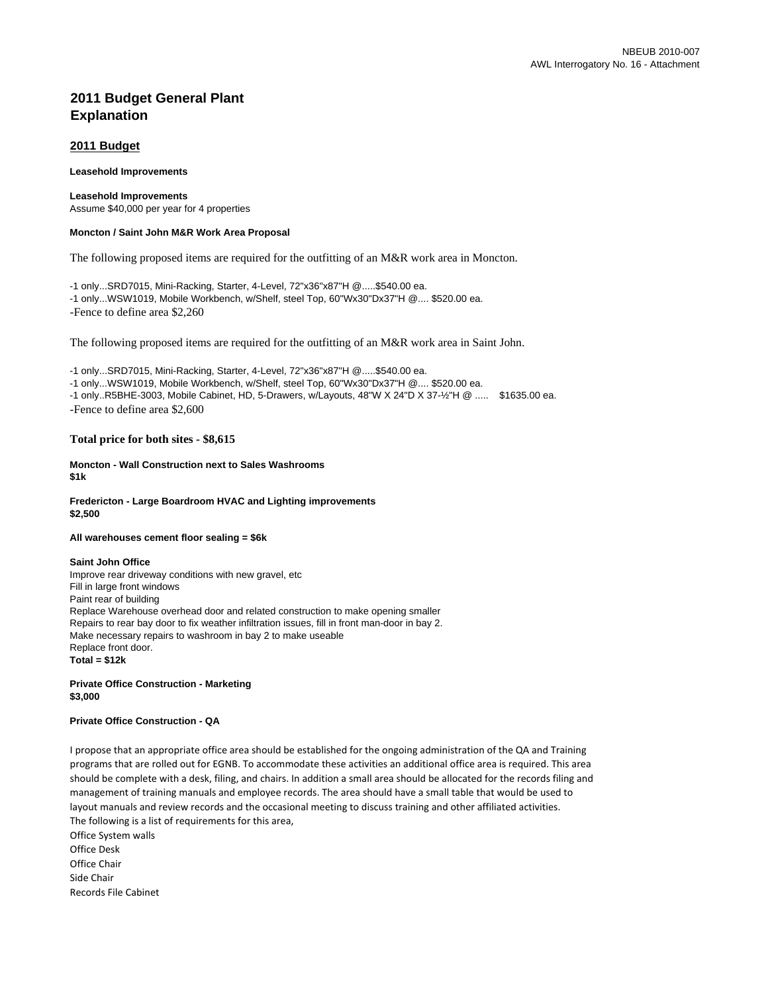# **2011 Budget General Plant Explanation**

# **2011 Budget**

### **Leasehold Improvements**

# **Leasehold Improvements**

Assume \$40,000 per year for 4 properties

# **Moncton / Saint John M&R Work Area Proposal**

The following proposed items are required for the outfitting of an M&R work area in Moncton.

-1 only...SRD7015, Mini-Racking, Starter, 4-Level, 72"x36"x87"H @.....\$540.00 ea. -1 only...WSW1019, Mobile Workbench, w/Shelf, steel Top, 60"Wx30"Dx37"H @.... \$520.00 ea. -Fence to define area \$2,260

The following proposed items are required for the outfitting of an M&R work area in Saint John.

-1 only...SRD7015, Mini-Racking, Starter, 4-Level, 72"x36"x87"H @.....\$540.00 ea.

-1 only...WSW1019, Mobile Workbench, w/Shelf, steel Top, 60"Wx30"Dx37"H @.... \$520.00 ea.

-1 only..R5BHE-3003, Mobile Cabinet, HD, 5-Drawers, w/Layouts, 48"W X 24"D X 37-½"H @ ..... \$1635.00 ea. -Fence to define area \$2,600

# **Total price for both sites - \$8,615**

**Moncton - Wall Construction next to Sales Washrooms \$1k**

# **Fredericton - Large Boardroom HVAC and Lighting improvements \$2,500**

### **All warehouses cement floor sealing = \$6k**

### **Saint John Office**

Improve rear driveway conditions with new gravel, etc Fill in large front windows Paint rear of building Replace Warehouse overhead door and related construction to make opening smaller Repairs to rear bay door to fix weather infiltration issues, fill in front man-door in bay 2. Make necessary repairs to washroom in bay 2 to make useable Replace front door. **Total = \$12k**

# **Private Office Construction - Marketing \$3,000**

# **Private Office Construction - QA**

The following is a list of requirements for this area, Office System walls I propose that an appropriate office area should be established for the ongoing administration of the QA and Training programs that are rolled out for EGNB. To accommodate these activities an additional office area is required. This area should be complete with a desk, filing, and chairs. In addition a small area should be allocated for the records filing and management of training manuals and employee records. The area should have a small table that would be used to layout manuals and review records and the occasional meeting to discuss training and other affiliated activities.

Office Desk Office Chair Side Chair Records File Cabinet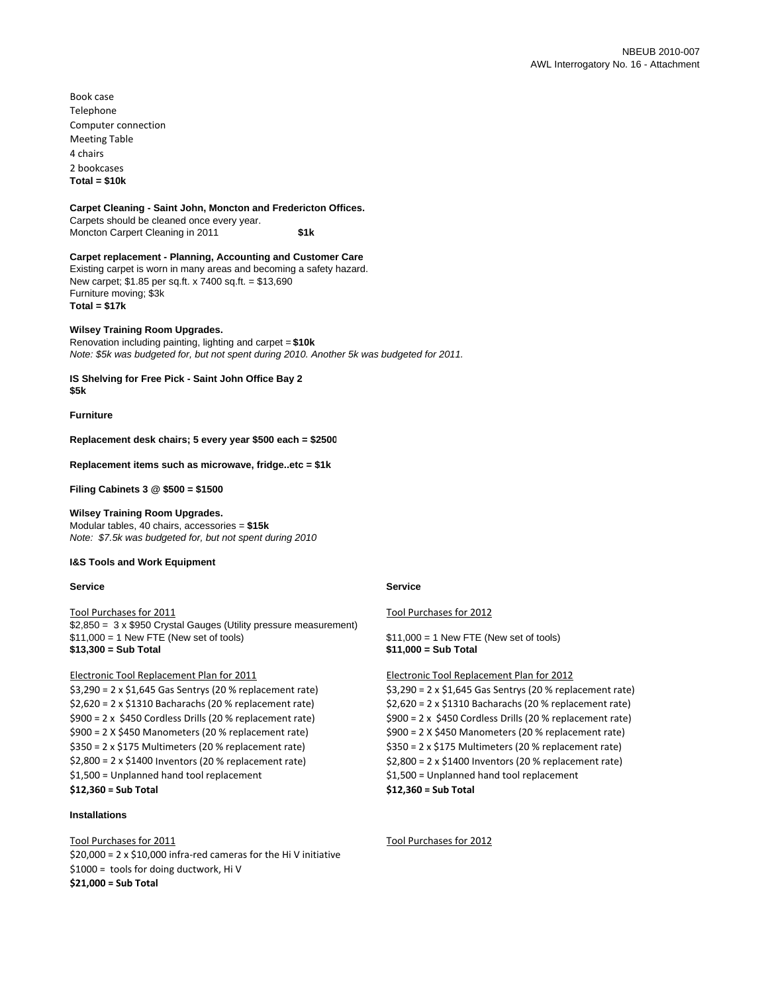Book case Telephone Computer connection Meeting Table 4 chairs 2 bookcases **Total = \$10k**

### **Carpet Cleaning - Saint John, Moncton and Fredericton Offices.**

Carpets should be cleaned once every year. Moncton Carpert Cleaning in 2011 **\$1k**

# **Carpet replacement - Planning, Accounting and Customer Care**

Existing carpet is worn in many areas and becoming a safety hazard. New carpet; \$1.85 per sq.ft. x 7400 sq.ft. = \$13,690 Furniture moving; \$3k

**Total = \$17k**

# **Wilsey Training Room Upgrades.**

Renovation including painting, lighting and carpet = **\$10k** *Note: \$5k was budgeted for, but not spent during 2010. Another 5k was budgeted for 2011.*

**IS Shelving for Free Pick - Saint John Office Bay 2 \$5k**

**Furniture** 

**Replacement desk chairs; 5 every year \$500 each = \$2500**

**Replacement items such as microwave, fridge..etc = \$1k**

**Filing Cabinets 3 @ \$500 = \$1500**

# **Wilsey Training Room Upgrades.**

Modular tables, 40 chairs, accessories = **\$15k** *Note: \$7.5k was budgeted for, but not spent during 2010* 

# **I&S Tools and Work Equipment**

# **Service Service Service Service Service** Service Service Service

\$2,850 = 3 x \$950 Crystal Gauges (Utility pressure measurement) \$11,000 = 1 New FTE (New set of tools) \$11,000 = 1 New FTE (New set of tools) **\$13,300 = Sub Total \$11,000 = Sub Total**

# Electronic Tool Replacement Plan for 2011 Electronic Tool Replacement Plan for 2012

\$3,290 = 2 x \$1,645 Gas Sentrys (20 % replacement rate) \$3,290 = 2 x \$1,645 Gas Sentrys (20 % replacement rate) \$2,620 = 2 x \$1310 Bacharachs (20 % replacement rate) \$2,620 = 2 x \$1310 Bacharachs (20 % replacement rate) \$900 = 2 x \$450 Cordless Drills (20 % replacement rate) \$900 = 2 x \$450 Cordless Drills (20 % replacement rate) \$900 = 2 X \$450 Manometers (20 % replacement rate) \$900 = 2 X \$450 Manometers (20 % replacement rate) \$350 = 2 x \$175 Multimeters (20 % replacement rate) \$350 = 2 x \$175 Multimeters (20 % replacement rate) \$2,800 = 2 x \$1400 Inventors (20 % replacement rate) \$2,800 = 2 x \$1400 Inventors (20 % replacement rate) \$1,500 = Unplanned hand tool replacement \$1,500 = Unplanned hand tool replacement **\$12,360 = Sub Total \$12,360 = Sub Total**

# **Installations**

Tool Purchases for 2011 Tool Purchases for 2012 \$20,000 = 2 x \$10,000 infra‐red cameras for the Hi V initiative \$1000 = tools for doing ductwork, Hi V **\$21,000 = Sub Total**

Tool Purchases for 2011 Tool Purchases for 2012